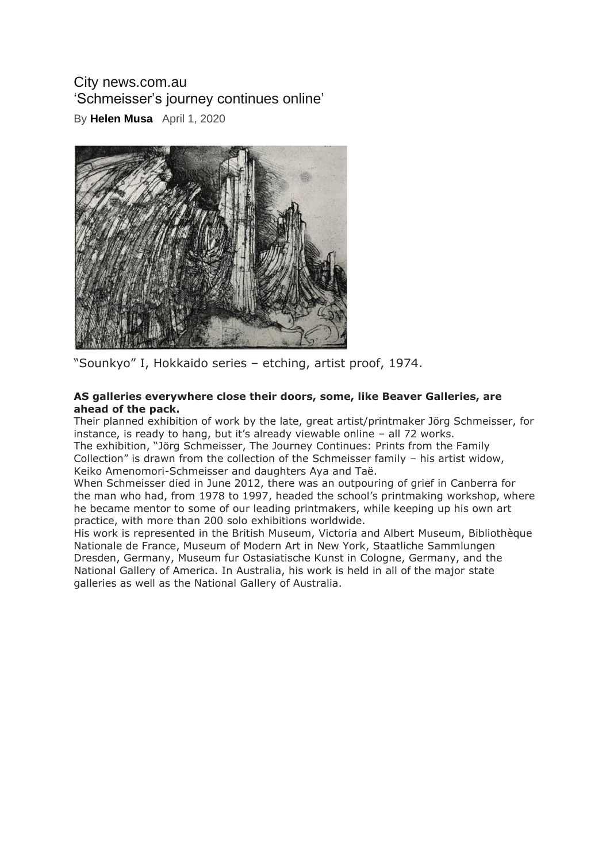## City news.com.au 'Schmeisser's journey continues online'

By **[Helen Musa](https://citynews.com.au/author/helen-musa/)** April 1, 2020



"Sounkyo" I, Hokkaido series – etching, artist proof, 1974.

## **AS galleries everywhere close their doors, some, like Beaver Galleries, are ahead of the pack.**

Their planned exhibition of work by the late, great artist/printmaker Jörg Schmeisser, for instance, is ready to hang, but it's already viewable online – all 72 works. The exhibition, "Jörg Schmeisser, The Journey Continues: Prints from the Family Collection" is drawn from the collection of the Schmeisser family – his artist widow, Keiko Amenomori-Schmeisser and daughters Aya and Taë.

When Schmeisser died in June 2012, there was an outpouring of grief in Canberra for the man who had, from 1978 to 1997, headed the school's printmaking workshop, where he became mentor to some of our leading printmakers, while keeping up his own art practice, with more than 200 solo exhibitions worldwide.

His work is represented in the British Museum, Victoria and Albert Museum, Bibliothèque Nationale de France, Museum of Modern Art in New York, Staatliche Sammlungen Dresden, Germany, Museum fur Ostasiatische Kunst in Cologne, Germany, and the National Gallery of America. In Australia, his work is held in all of the major state galleries as well as the National Gallery of Australia.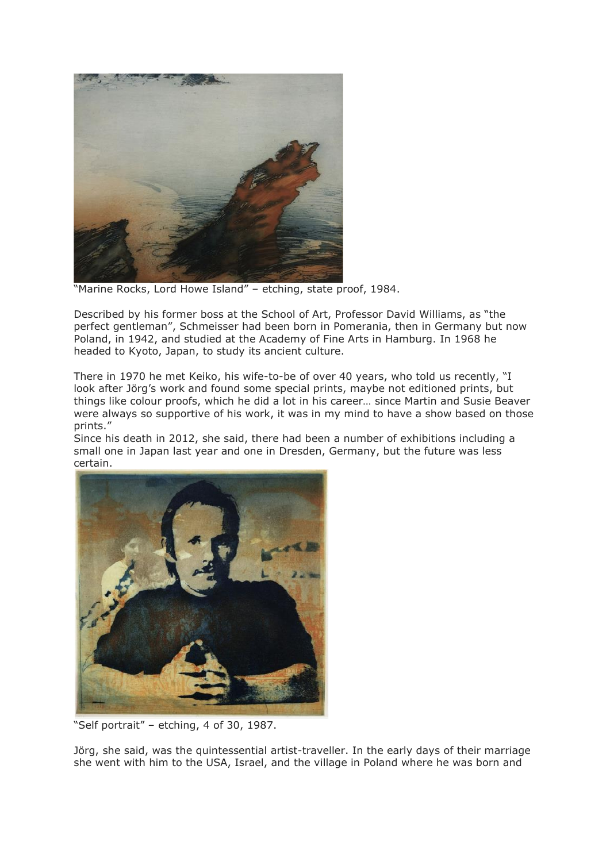

"Marine Rocks, Lord Howe Island" – etching, state proof, 1984.

Described by his former boss at the School of Art, Professor David Williams, as "the perfect gentleman", Schmeisser had been born in Pomerania, then in Germany but now Poland, in 1942, and studied at the Academy of Fine Arts in Hamburg. In 1968 he headed to Kyoto, Japan, to study its ancient culture.

There in 1970 he met Keiko, his wife-to-be of over 40 years, who told us recently, "I look after Jörg's work and found some special prints, maybe not editioned prints, but things like colour proofs, which he did a lot in his career… since Martin and Susie Beaver were always so supportive of his work, it was in my mind to have a show based on those prints."

Since his death in 2012, she said, there had been a number of exhibitions including a small one in Japan last year and one in Dresden, Germany, but the future was less certain.



"Self portrait" – etching, 4 of 30, 1987.

Jörg, she said, was the quintessential artist-traveller. In the early days of their marriage she went with him to the USA, Israel, and the village in Poland where he was born and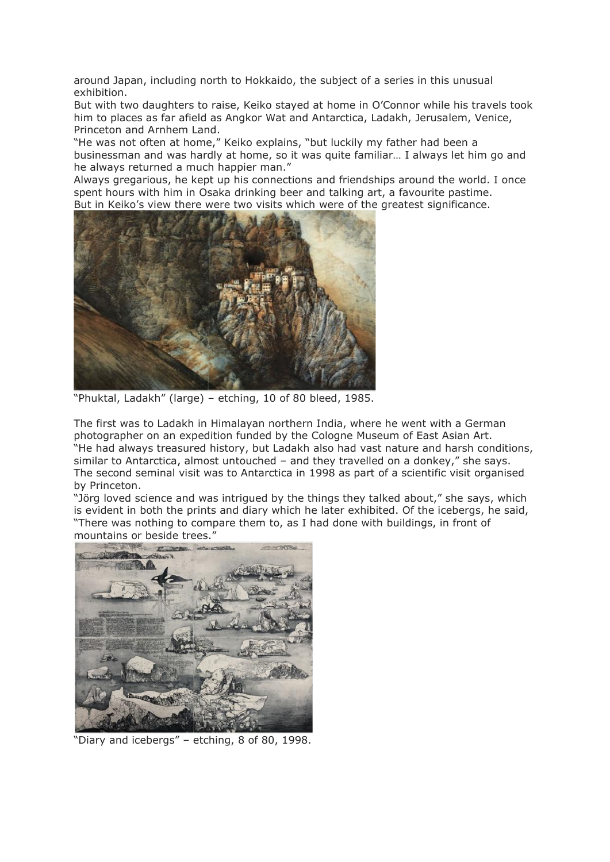around Japan, including north to Hokkaido, the subject of a series in this unusual exhibition.

But with two daughters to raise, Keiko stayed at home in O'Connor while his travels took him to places as far afield as Angkor Wat and Antarctica, Ladakh, Jerusalem, Venice, Princeton and Arnhem Land.

"He was not often at home," Keiko explains, "but luckily my father had been a businessman and was hardly at home, so it was quite familiar… I always let him go and he always returned a much happier man."

Always gregarious, he kept up his connections and friendships around the world. I once spent hours with him in Osaka drinking beer and talking art, a favourite pastime. But in Keiko's view there were two visits which were of the greatest significance.



"Phuktal, Ladakh" (large) – etching, 10 of 80 bleed, 1985.

The first was to Ladakh in Himalayan northern India, where he went with a German photographer on an expedition funded by the Cologne Museum of East Asian Art. "He had always treasured history, but Ladakh also had vast nature and harsh conditions, similar to Antarctica, almost untouched – and they travelled on a donkey," she says. The second seminal visit was to Antarctica in 1998 as part of a scientific visit organised by Princeton.

"Jörg loved science and was intrigued by the things they talked about," she says, which is evident in both the prints and diary which he later exhibited. Of the icebergs, he said, "There was nothing to compare them to, as I had done with buildings, in front of mountains or beside trees."



"Diary and icebergs" – etching, 8 of 80, 1998.